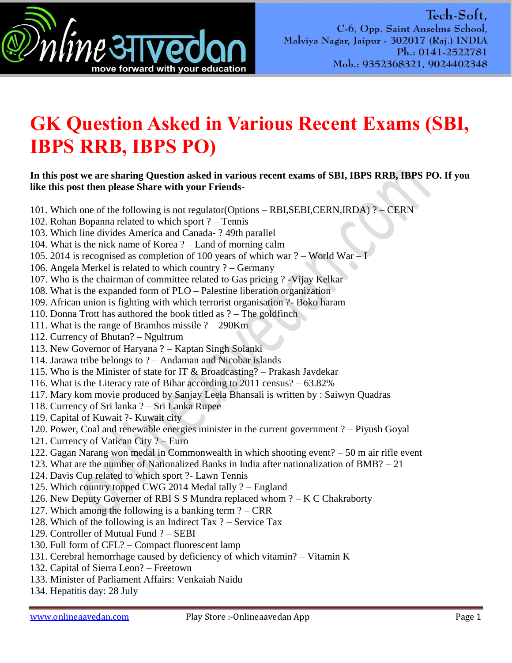

## **GK Question Asked in Various Recent Exams (SBI, IBPS RRB, IBPS PO)**

## **In this post we are sharing Question asked in various recent exams of SBI, IBPS RRB, IBPS PO. If you like this post then please Share with your Friends-**

- 101. Which one of the following is not regulator(Options RBI,SEBI,CERN,IRDA) ? CERN
- 102. Rohan Bopanna related to which sport ? Tennis
- 103. Which line divides America and Canada- ? 49th parallel
- 104. What is the nick name of Korea ? Land of morning calm
- 105. 2014 is recognised as completion of 100 years of which war ? World War I
- 106. Angela Merkel is related to which country ? Germany
- 107. Who is the chairman of committee related to Gas pricing ? -Vijay Kelkar
- 108. What is the expanded form of PLO Palestine liberation organization
- 109. African union is fighting with which terrorist organisation ?- Boko haram
- 110. Donna Trott has authored the book titled as ? The goldfinch
- 111. What is the range of Bramhos missile ? 290Km
- 112. Currency of Bhutan? Ngultrum
- 113. New Governor of Haryana ? Kaptan Singh Solanki
- 114. Jarawa tribe belongs to ? Andaman and Nicobar islands
- 115. Who is the Minister of state for IT  $&$  Broadcasting? Prakash Javdekar
- 116. What is the Literacy rate of Bihar according to 2011 census? 63.82%
- 117. Mary kom movie produced by Sanjay Leela Bhansali is written by : Saiwyn Quadras
- 118. Currency of Sri lanka ? Sri Lanka Rupee
- 119. Capital of Kuwait ?- Kuwait city
- 120. Power, Coal and renewable energies minister in the current government ? Piyush Goyal
- 121. Currency of Vatican City ? Euro
- 122. Gagan Narang won medal in Commonwealth in which shooting event? 50 m air rifle event
- 123. What are the number of Nationalized Banks in India after nationalization of BMB? 21
- 124. Davis Cup related to which sport ?- Lawn Tennis
- 125. Which country topped CWG 2014 Medal tally ? England
- 126. New Deputy Governer of RBI S S Mundra replaced whom ? K C Chakraborty
- 127. Which among the following is a banking term ? CRR
- 128. Which of the following is an Indirect Tax ? Service Tax
- 129. Controller of Mutual Fund ? SEBI
- 130. Full form of CFL? Compact fluorescent lamp
- 131. Cerebral hemorrhage caused by deficiency of which vitamin? Vitamin K
- 132. Capital of Sierra Leon? Freetown
- 133. Minister of Parliament Affairs: Venkaiah Naidu
- 134. Hepatitis day: 28 July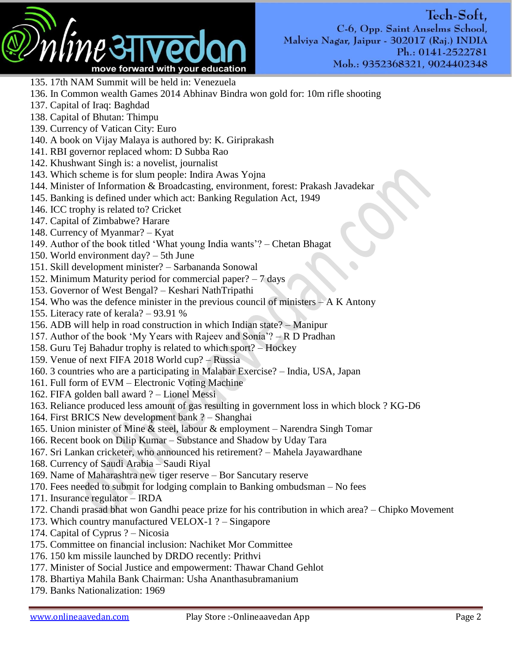

Tech-Soft, C-6, Opp. Saint Anselms School, Malviya Nagar, Jaipur - 302017 (Raj.) INDIA Ph.: 0141-2522781 Mob.: 9352368321, 9024402348

- 135. 17th NAM Summit will be held in: Venezuela
- 136. In Common wealth Games 2014 Abhinav Bindra won gold for: 10m rifle shooting
- 137. Capital of Iraq: Baghdad
- 138. Capital of Bhutan: Thimpu
- 139. Currency of Vatican City: Euro
- 140. A book on Vijay Malaya is authored by: K. Giriprakash
- 141. RBI governor replaced whom: D Subba Rao
- 142. Khushwant Singh is: a novelist, journalist
- 143. Which scheme is for slum people: Indira Awas Yojna
- 144. Minister of Information & Broadcasting, environment, forest: Prakash Javadekar
- 145. Banking is defined under which act: Banking Regulation Act, 1949
- 146. ICC trophy is related to? Cricket
- 147. Capital of Zimbabwe? Harare
- 148. Currency of Myanmar? Kyat
- 149. Author of the book titled "What young India wants"? Chetan Bhagat
- 150. World environment day? 5th June
- 151. Skill development minister? Sarbananda Sonowal
- 152. Minimum Maturity period for commercial paper? 7 days
- 153. Governor of West Bengal? Keshari NathTripathi
- 154. Who was the defence minister in the previous council of ministers  $-A K$  Antony
- 155. Literacy rate of kerala? 93.91 %
- 156. ADB will help in road construction in which Indian state? Manipur
- 157. Author of the book 'My Years with Rajeev and Sonia'?  $-R$  D Pradhan
- 158. Guru Tej Bahadur trophy is related to which sport? Hockey
- 159. Venue of next FIFA 2018 World cup? Russia
- 160. 3 countries who are a participating in Malabar Exercise? India, USA, Japan
- 161. Full form of EVM Electronic Voting Machine
- 162. FIFA golden ball award ? Lionel Messi
- 163. Reliance produced less amount of gas resulting in government loss in which block ? KG-D6
- 164. First BRICS New development bank ? Shanghai
- 165. Union minister of Mine & steel, labour & employment Narendra Singh Tomar
- 166. Recent book on Dilip Kumar Substance and Shadow by Uday Tara
- 167. Sri Lankan cricketer, who announced his retirement? Mahela Jayawardhane
- 168. Currency of Saudi Arabia Saudi Riyal
- 169. Name of Maharashtra new tiger reserve Bor Sancutary reserve
- 170. Fees needed to submit for lodging complain to Banking ombudsman No fees
- 171. Insurance regulator IRDA
- 172. Chandi prasad bhat won Gandhi peace prize for his contribution in which area? Chipko Movement
- 173. Which country manufactured VELOX-1 ? Singapore
- 174. Capital of Cyprus ? Nicosia
- 175. Committee on financial inclusion: Nachiket Mor Committee
- 176. 150 km missile launched by DRDO recently: Prithvi
- 177. Minister of Social Justice and empowerment: Thawar Chand Gehlot
- 178. Bhartiya Mahila Bank Chairman: Usha Ananthasubramanium
- 179. Banks Nationalization: 1969